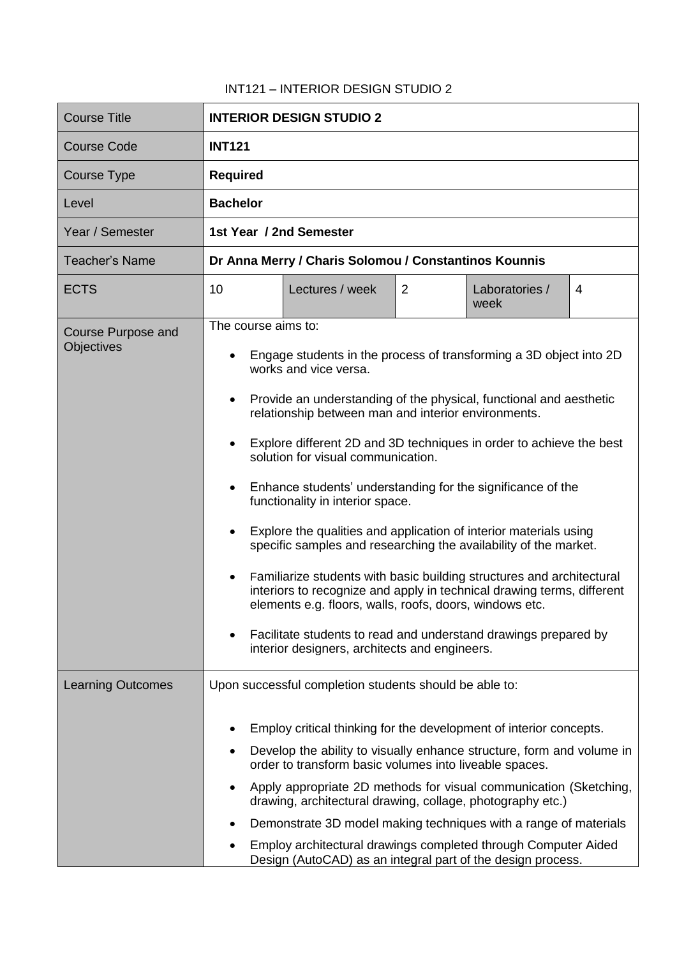## INT121 – INTERIOR DESIGN STUDIO 2

| <b>Course Title</b>                            | <b>INTERIOR DESIGN STUDIO 2</b>                                                                                                                                                                                                                                                                                                                                                                                                                                                                                                                                                                                                                                                                                                                                                                                                                                                                                                                                                                                          |  |  |  |
|------------------------------------------------|--------------------------------------------------------------------------------------------------------------------------------------------------------------------------------------------------------------------------------------------------------------------------------------------------------------------------------------------------------------------------------------------------------------------------------------------------------------------------------------------------------------------------------------------------------------------------------------------------------------------------------------------------------------------------------------------------------------------------------------------------------------------------------------------------------------------------------------------------------------------------------------------------------------------------------------------------------------------------------------------------------------------------|--|--|--|
| <b>Course Code</b>                             | <b>INT121</b>                                                                                                                                                                                                                                                                                                                                                                                                                                                                                                                                                                                                                                                                                                                                                                                                                                                                                                                                                                                                            |  |  |  |
| <b>Course Type</b>                             | <b>Required</b>                                                                                                                                                                                                                                                                                                                                                                                                                                                                                                                                                                                                                                                                                                                                                                                                                                                                                                                                                                                                          |  |  |  |
| Level                                          | <b>Bachelor</b>                                                                                                                                                                                                                                                                                                                                                                                                                                                                                                                                                                                                                                                                                                                                                                                                                                                                                                                                                                                                          |  |  |  |
| Year / Semester                                | 1st Year / 2nd Semester                                                                                                                                                                                                                                                                                                                                                                                                                                                                                                                                                                                                                                                                                                                                                                                                                                                                                                                                                                                                  |  |  |  |
| <b>Teacher's Name</b>                          | Dr Anna Merry / Charis Solomou / Constantinos Kounnis                                                                                                                                                                                                                                                                                                                                                                                                                                                                                                                                                                                                                                                                                                                                                                                                                                                                                                                                                                    |  |  |  |
| <b>ECTS</b>                                    | 10<br>Lectures / week<br>2<br>Laboratories /<br>4<br>week                                                                                                                                                                                                                                                                                                                                                                                                                                                                                                                                                                                                                                                                                                                                                                                                                                                                                                                                                                |  |  |  |
| <b>Course Purpose and</b><br><b>Objectives</b> | The course aims to:<br>Engage students in the process of transforming a 3D object into 2D<br>$\bullet$<br>works and vice versa.<br>Provide an understanding of the physical, functional and aesthetic<br>$\bullet$<br>relationship between man and interior environments.<br>Explore different 2D and 3D techniques in order to achieve the best<br>$\bullet$<br>solution for visual communication.<br>Enhance students' understanding for the significance of the<br>$\bullet$<br>functionality in interior space.<br>Explore the qualities and application of interior materials using<br>$\bullet$<br>specific samples and researching the availability of the market.<br>Familiarize students with basic building structures and architectural<br>$\bullet$<br>interiors to recognize and apply in technical drawing terms, different<br>elements e.g. floors, walls, roofs, doors, windows etc.<br>Facilitate students to read and understand drawings prepared by<br>interior designers, architects and engineers. |  |  |  |
| <b>Learning Outcomes</b>                       | Upon successful completion students should be able to:<br>Employ critical thinking for the development of interior concepts.<br>Develop the ability to visually enhance structure, form and volume in<br>٠<br>order to transform basic volumes into liveable spaces.<br>Apply appropriate 2D methods for visual communication (Sketching,<br>٠<br>drawing, architectural drawing, collage, photography etc.)<br>Demonstrate 3D model making techniques with a range of materials<br>Employ architectural drawings completed through Computer Aided<br>Design (AutoCAD) as an integral part of the design process.                                                                                                                                                                                                                                                                                                                                                                                                        |  |  |  |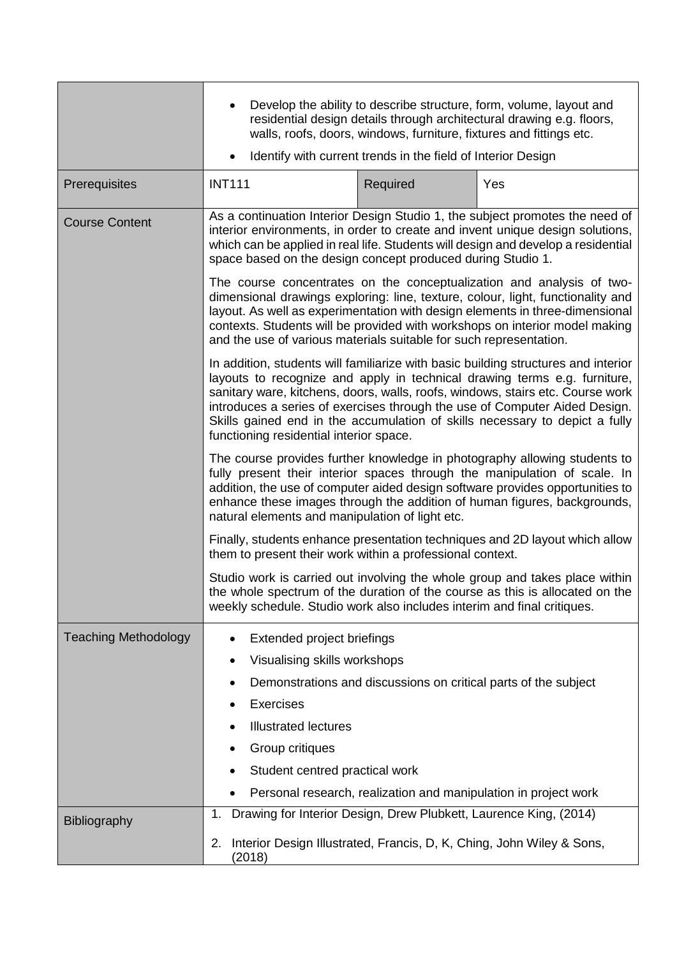|                             | Develop the ability to describe structure, form, volume, layout and<br>residential design details through architectural drawing e.g. floors,<br>walls, roofs, doors, windows, furniture, fixtures and fittings etc.<br>Identify with current trends in the field of Interior Design<br>$\bullet$                                                                                                                                                          |          |     |  |  |
|-----------------------------|-----------------------------------------------------------------------------------------------------------------------------------------------------------------------------------------------------------------------------------------------------------------------------------------------------------------------------------------------------------------------------------------------------------------------------------------------------------|----------|-----|--|--|
| Prerequisites               | <b>INT111</b>                                                                                                                                                                                                                                                                                                                                                                                                                                             | Required | Yes |  |  |
| <b>Course Content</b>       | As a continuation Interior Design Studio 1, the subject promotes the need of<br>interior environments, in order to create and invent unique design solutions,<br>which can be applied in real life. Students will design and develop a residential<br>space based on the design concept produced during Studio 1.                                                                                                                                         |          |     |  |  |
|                             | The course concentrates on the conceptualization and analysis of two-<br>dimensional drawings exploring: line, texture, colour, light, functionality and<br>layout. As well as experimentation with design elements in three-dimensional<br>contexts. Students will be provided with workshops on interior model making<br>and the use of various materials suitable for such representation.                                                             |          |     |  |  |
|                             | In addition, students will familiarize with basic building structures and interior<br>layouts to recognize and apply in technical drawing terms e.g. furniture,<br>sanitary ware, kitchens, doors, walls, roofs, windows, stairs etc. Course work<br>introduces a series of exercises through the use of Computer Aided Design.<br>Skills gained end in the accumulation of skills necessary to depict a fully<br>functioning residential interior space. |          |     |  |  |
|                             | The course provides further knowledge in photography allowing students to<br>fully present their interior spaces through the manipulation of scale. In<br>addition, the use of computer aided design software provides opportunities to<br>enhance these images through the addition of human figures, backgrounds,<br>natural elements and manipulation of light etc.                                                                                    |          |     |  |  |
|                             | Finally, students enhance presentation techniques and 2D layout which allow<br>them to present their work within a professional context.<br>Studio work is carried out involving the whole group and takes place within<br>the whole spectrum of the duration of the course as this is allocated on the<br>weekly schedule. Studio work also includes interim and final critiques.                                                                        |          |     |  |  |
|                             |                                                                                                                                                                                                                                                                                                                                                                                                                                                           |          |     |  |  |
| <b>Teaching Methodology</b> | Extended project briefings<br>$\bullet$<br>Visualising skills workshops<br>٠<br>Demonstrations and discussions on critical parts of the subject<br>٠<br><b>Exercises</b><br>$\bullet$<br><b>Illustrated lectures</b><br>Group critiques<br>٠<br>Student centred practical work<br>٠<br>Personal research, realization and manipulation in project work                                                                                                    |          |     |  |  |
| Bibliography                | Drawing for Interior Design, Drew Plubkett, Laurence King, (2014)<br>1.<br>Interior Design Illustrated, Francis, D, K, Ching, John Wiley & Sons,<br>2.<br>(2018)                                                                                                                                                                                                                                                                                          |          |     |  |  |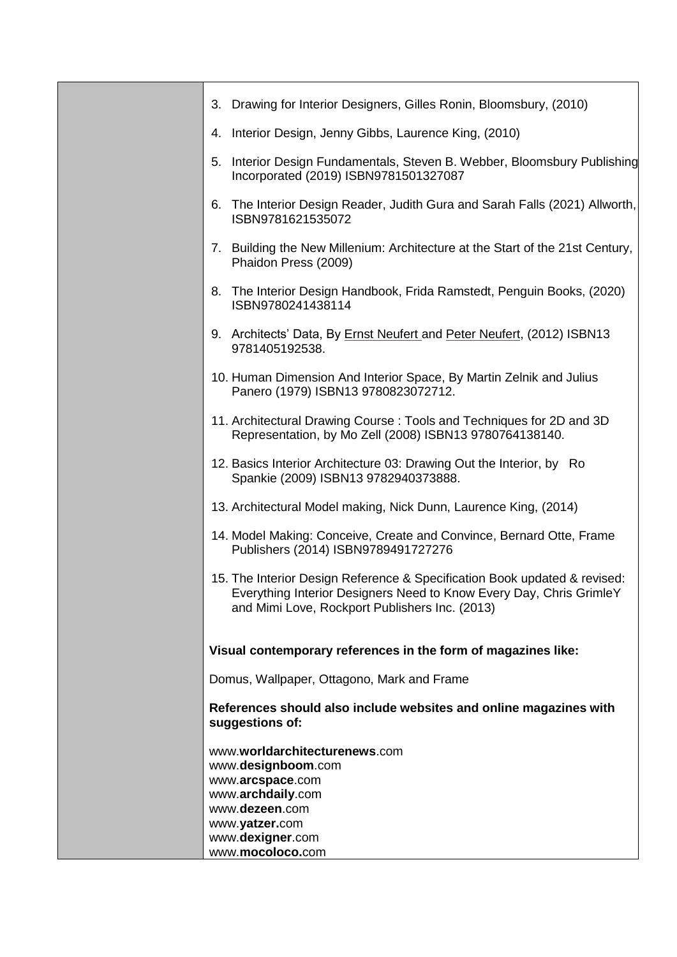| 3. Drawing for Interior Designers, Gilles Ronin, Bloomsbury, (2010)                                                                                                                                |
|----------------------------------------------------------------------------------------------------------------------------------------------------------------------------------------------------|
| Interior Design, Jenny Gibbs, Laurence King, (2010)<br>4.                                                                                                                                          |
| 5. Interior Design Fundamentals, Steven B. Webber, Bloomsbury Publishing<br>Incorporated (2019) ISBN9781501327087                                                                                  |
| The Interior Design Reader, Judith Gura and Sarah Falls (2021) Allworth,<br>6.<br>ISBN9781621535072                                                                                                |
| 7. Building the New Millenium: Architecture at the Start of the 21st Century,<br>Phaidon Press (2009)                                                                                              |
| 8. The Interior Design Handbook, Frida Ramstedt, Penguin Books, (2020)<br>ISBN9780241438114                                                                                                        |
| 9. Architects' Data, By Ernst Neufert and Peter Neufert, (2012) ISBN13<br>9781405192538.                                                                                                           |
| 10. Human Dimension And Interior Space, By Martin Zelnik and Julius<br>Panero (1979) ISBN13 9780823072712.                                                                                         |
| 11. Architectural Drawing Course: Tools and Techniques for 2D and 3D<br>Representation, by Mo Zell (2008) ISBN13 9780764138140.                                                                    |
| 12. Basics Interior Architecture 03: Drawing Out the Interior, by Ro<br>Spankie (2009) ISBN13 9782940373888.                                                                                       |
| 13. Architectural Model making, Nick Dunn, Laurence King, (2014)                                                                                                                                   |
| 14. Model Making: Conceive, Create and Convince, Bernard Otte, Frame<br>Publishers (2014) ISBN9789491727276                                                                                        |
| 15. The Interior Design Reference & Specification Book updated & revised:<br>Everything Interior Designers Need to Know Every Day, Chris GrimleY<br>and Mimi Love, Rockport Publishers Inc. (2013) |
| Visual contemporary references in the form of magazines like:                                                                                                                                      |
| Domus, Wallpaper, Ottagono, Mark and Frame                                                                                                                                                         |
| References should also include websites and online magazines with<br>suggestions of:                                                                                                               |
| www.worldarchitecturenews.com<br>www.designboom.com<br>www.arcspace.com<br>www.archdaily.com<br>www.dezeen.com<br>www.yatzer.com                                                                   |
| www.dexigner.com<br>www.mocoloco.com                                                                                                                                                               |